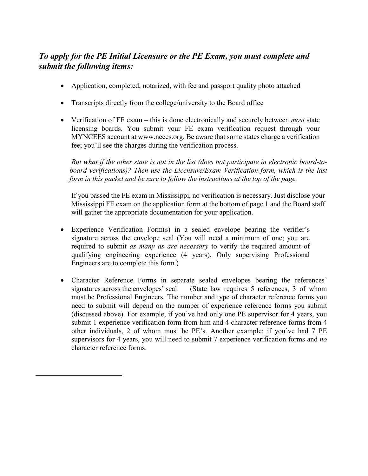## *To apply for the PE Initial Licensure or the PE Exam, you must complete and submit the following items:*

- Application, completed, notarized, with fee and passport quality photo attached
- Transcripts directly from the college/university to the Board office
- Verification of FE exam this is done electronically and securely between *most* state licensing boards. You submit your FE exam verification request through your MYNCEES account at www.ncees.org. Be aware that some states charge a verification fee; you'll see the charges during the verification process.

*But what if the other state is not in the list (does not participate in electronic board-toboard verifications)? Then use the Licensure/Exam Verification form, which is the last form in this packet and be sure to follow the instructions at the top of the page.*

If you passed the FE exam in Mississippi, no verification is necessary. Just disclose your Mississippi FE exam on the application form at the bottom of page 1 and the Board staff will gather the appropriate documentation for your application.

- Experience Verification Form(s) in a sealed envelope bearing the verifier's signature across the envelope seal (You will need a minimum of one; you are required to submit *as many as are necessary* to verify the required amount of qualifying engineering experience (4 years). Only supervising Professional Engineers are to complete this form.)
- Character Reference Forms in separate sealed envelopes bearing the references' signatures across the envelopes' seal (State law requires 5 references, 3 of whom must be Professional Engineers. The number and type of character reference forms you need to submit will depend on the number of experience reference forms you submit (discussed above). For example, if you've had only one PE supervisor for 4 years, you submit 1 experience verification form from him and 4 character reference forms from 4 other individuals, 2 of whom must be PE's. Another example: if you've had 7 PE supervisors for 4 years, you will need to submit 7 experience verification forms and *no*  character reference forms.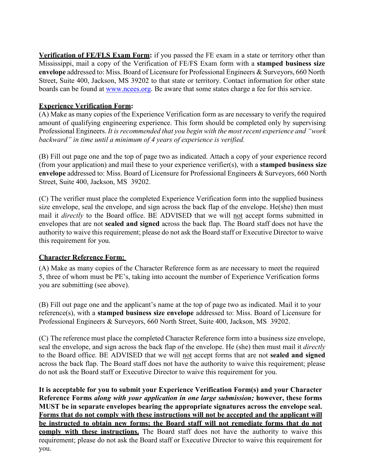**Verification of FE/FLS Exam Form:** if you passed the FE exam in a state or territory other than Mississippi, mail a copy of the Verification of FE/FS Exam form with a **stamped business size envelope** addressed to: Miss. Board of Licensure for Professional Engineers & Surveyors, 660 North Street, Suite 400, Jackson, MS 39202 to that state or territory. Contact information for other state boards can be found at [www.ncees.org.](http://www.ncees.org/) Be aware that some states charge a fee for this service.

## **Experience Verification Form:**

(A) Make as many copies of the Experience Verification form as are necessary to verify the required amount of qualifying engineering experience. This form should be completed only by supervising Professional Engineers. *It is recommended that you begin with the most recent experience and "work backward" in time until a minimum of 4 years of experience is verified.*

(B) Fill out page one and the top of page two as indicated. Attach a copy of your experience record (from your application) and mail these to your experience verifier(s), with a **stamped business size envelope** addressed to: Miss. Board of Licensure for Professional Engineers & Surveyors, 660 North Street, Suite 400, Jackson, MS 39202.

(C) The verifier must place the completed Experience Verification form into the supplied business size envelope, seal the envelope, and sign across the back flap of the envelope. He(she) then must mail it *directly* to the Board office. BE ADVISED that we will not accept forms submitted in envelopes that are not **sealed and signed** across the back flap. The Board staff does not have the authority to waive this requirement; please do not ask the Board staff or Executive Director to waive this requirement for you.

## **Character Reference Form:**

(A) Make as many copies of the Character Reference form as are necessary to meet the required 5, three of whom must be PE's, taking into account the number of Experience Verification forms you are submitting (see above).

(B) Fill out page one and the applicant's name at the top of page two as indicated. Mail it to your reference(s), with a **stamped business size envelope** addressed to: Miss. Board of Licensure for Professional Engineers & Surveyors, 660 North Street, Suite 400, Jackson, MS 39202.

(C) The reference must place the completed Character Reference form into a business size envelope, seal the envelope, and sign across the back flap of the envelope. He (she) then must mail it *directly*  to the Board office. BE ADVISED that we will not accept forms that are not **sealed and signed**  across the back flap. The Board staff does not have the authority to waive this requirement; please do not ask the Board staff or Executive Director to waive this requirement for you.

**It is acceptable for you to submit your Experience Verification Form(s) and your Character Reference Forms** *along with your application in one large submission;* **however, these forms MUST be in separate envelopes bearing the appropriate signatures across the envelope seal. Forms that do not comply with these instructions will not be accepted and the applicant will be instructed to obtain new forms; the Board staff will not remediate forms that do not comply with these instructions.** The Board staff does not have the authority to waive this requirement; please do not ask the Board staff or Executive Director to waive this requirement for you.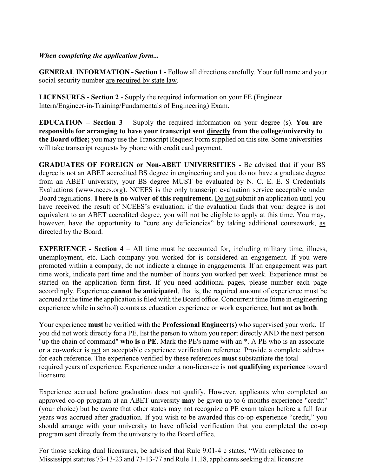## *When completing the application form...*

**GENERAL INFORMATION - Section 1** - Follow all directions carefully. Your full name and your social security number are required by state law.

**LICENSURES - Section 2** - Supply the required information on your FE (Engineer Intern/Engineer-in-Training/Fundamentals of Engineering) Exam.

**EDUCATION – Section 3** – Supply the required information on your degree (s). **You are responsible for arranging to have your transcript sent directly from the college/university to the Board office;** you may use the Transcript Request Form supplied on this site. Some universities will take transcript requests by phone with credit card payment.

**GRADUATES OF FOREIGN or Non-ABET UNIVERSITIES -** Be advised that if your BS degree is not an ABET accredited BS degree in engineering and you do not have a graduate degree from an ABET university, your BS degree MUST be evaluated by N. C. E. E. S Credentials Evaluations (www.ncees.org). NCEES is the only transcript evaluation service acceptable under Board regulations. **There is no waiver of this requirement.** Do not submit an application until you have received the result of NCEES's evaluation; if the evaluation finds that your degree is not equivalent to an ABET accredited degree, you will not be eligible to apply at this time. You may, however, have the opportunity to "cure any deficiencies" by taking additional coursework, as directed by the Board.

**EXPERIENCE -** Section 4 – All time must be accounted for, including military time, illness, unemployment, etc. Each company you worked for is considered an engagement. If you were promoted within a company, do not indicate a change in engagements. If an engagement was part time work, indicate part time and the number of hours you worked per week. Experience must be started on the application form first. If you need additional pages, please number each page accordingly. Experience **cannot be anticipated**, that is, the required amount of experience must be accrued at the time the application is filed with the Board office. Concurrent time (time in engineering experience while in school) counts as education experience or work experience, **but not as both**.

Your experience **must** be verified with the **Professional Engineer(s)** who supervised your work. If you did not work directly for a PE, list the person to whom you report directly AND the next person "up the chain of command" **who is a PE**. Mark the PE's name with an \*. A PE who is an associate or a co-worker is not an acceptable experience verification reference. Provide a complete address for each reference. The experience verified by these references **must** substantiate the total required years of experience. Experience under a non-licensee is **not qualifying experience** toward licensure.

Experience accrued before graduation does not qualify. However, applicants who completed an approved co-op program at an ABET university **may** be given up to 6 months experience "credit" (your choice) but be aware that other states may not recognize a PE exam taken before a full four years was accrued after graduation. If you wish to be awarded this co-op experience "credit," you should arrange with your university to have official verification that you completed the co-op program sent directly from the university to the Board office.

For those seeking dual licensures, be advised that Rule 9.01-4 c states, "With reference to Mississippi statutes 73-13-23 and 73-13-77 and Rule 11.18, applicants seeking dual licensure